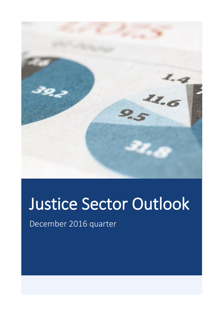

# Justice Sector Outlook

December 2016 quarter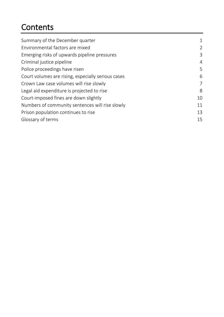### **Contents**

| Summary of the December quarter                    | $\mathbf 1$    |
|----------------------------------------------------|----------------|
| Environmental factors are mixed                    | 2              |
| Emerging risks of upwards pipeline pressures       | 3              |
| Criminal justice pipeline                          | $\overline{4}$ |
| Police proceedings have risen                      | 5              |
| Court volumes are rising, especially serious cases | 6              |
| Crown Law case volumes will rise slowly            | 7              |
| Legal aid expenditure is projected to rise         | 8              |
| Court-imposed fines are down slightly              | 10             |
| Numbers of community sentences will rise slowly    | 11             |
| Prison population continues to rise                | 13             |
| Glossary of terms                                  | 15             |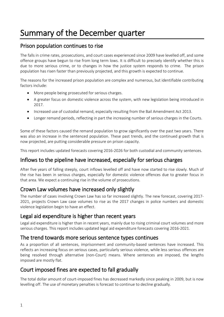# <span id="page-2-0"></span>Summary of the December quarter

### Prison population continues to rise

The falls in crime rates, prosecutions, and court cases experienced since 2009 have levelled off, and some offence groups have begun to rise from long term lows. It is difficult to precisely identify whether this is due to more serious crime, or to changes in how the justice system responds to crime. The prison population has risen faster than previously projected, and this growth is expected to continue.

The reasons for the increased prison population are complex and numerous, but identifiable contributing factors include:

- More people being prosecuted for serious charges.
- A greater focus on domestic violence across the system, with new legislation being introduced in 2017.
- Increased use of custodial remand, especially resulting from the Bail Amendment Act 2013.
- Longer remand periods, reflecting in part the increasing number of serious charges in the Courts.

Some of these factors caused the remand population to grow significantly over the past two years. There was also an increase in the sentenced population. These past trends, and the continued growth that is now projected, are putting considerable pressure on prison capacity.

This report includes updated forecasts covering 2016-2026 for both custodial and community sentences.

#### Inflows to the pipeline have increased, especially for serious charges

After five years of falling steeply, court inflows levelled off and have now started to rise slowly. Much of the rise has been in serious charges, especially for domestic violence offences due to greater focus in that area. We expect a continuing rise in the volume of prosecutions.

### Crown Law volumes have increased only slightly

The number of cases involving Crown Law has so far increased slightly. The new forecast, covering 2017- 2021, projects Crown Law case volumes to rise as the 2017 changes in police numbers and domestic violence legislation begin to have an effect.

#### Legal aid expenditure is higher than recent years

Legal aid expenditure is higher than in recent years, mainly due to rising criminal court volumes and more serious charges. This report includes updated legal aid expenditure forecasts covering 2016-2021.

#### The trend towards more serious sentence types continues

As a proportion of all sentences, imprisonment and community-based sentences have increased. This reflects an increasing focus on serious cases, particularly serious violence, while less serious offences are being resolved through alternative (non-Court) means. Where sentences are imposed, the lengths imposed are mostly flat.

### Court imposed fines are expected to fall gradually

The total dollar amount of court-imposed fines has decreased markedly since peaking in 2009, but is now levelling off. The use of monetary penalties is forecast to continue to decline gradually.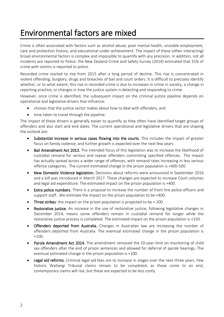### <span id="page-3-0"></span>Environmental factors are mixed

Crime is often associated with factors such as alcohol abuse, poor mental health, unstable employment, care and protection history, and educational under-achievement. The impact of these (often interacting) broad environmental factors is complex and impossible to quantify with any precision. In addition, not all incidents are reported to Police: the New Zealand Crime and Safety Survey (2014) estimated that 31% of crime with victims is reported to police.

Recorded crime started to rise from 2015 after a long period of decline. This rise is concentrated in violent offending, burglary, drugs and breaches of bail and court orders. It is difficult to precisely identify whether, or to what extent, this rise in recorded crime is due to increases in crime in society, a change in reporting practice, or changes in how the justice system is detecting and responding to crime.

However, once crime is identified, the subsequent impact on the criminal justice pipeline depends on operational and legislative drivers that influence:

- choices that the justice sector makes about how to deal with offenders, and
- time taken to travel through the pipeline.

The impact of these drivers is generally easier to quantify as they often have identified target groups of offenders and also start and end dates. The current operational and legislative drivers that are shaping the outlook are:

- Substantial increase in serious cases flowing into the courts. This includes the impact of greater focus on family violence, and further growth is expected over the next few years.
- Bail Amendment Act 2013. The intended focus of this legislation was to increase the likelihood of custodial remand for serious and repeat offenders committing specified offences. The impact has actually spread across a wider range of offences, with remand rates increasing in less serious offence categories. The current estimated change in the prison population is +400-500.
- New Domestic Violence legislation. Decisions about reforms were announced in September 2016 and a bill was introduced in March 2017. These changes are expected to increase Court volumes and legal aid expenditure. The estimated impact on the prison population is +400.
- **Extra police numbers.** There is a proposal to increase the number of front line police officers and support staff.. We estimate the impact on the prison population to be +400.
- Three strikes: the impact on the prison population is projected to be  $+$  200.
- Restorative justice. An increase in the use of restorative justice, following legislative changes in December 2014, means some offenders remain in custodial remand for longer while the restorative justice process is completed. The estimated impact on the prison population is +150.
- Offenders deported from Australia. Changes in Australian law are increasing the number of offenders deported from Australia. The eventual estimated change in the prison population is +100.
- Parole Amendment Act 2014. The amendment removed the 10-year limit on monitoring of child sex offenders after the end of prison sentences and allowed for deferral of parole hearings. The eventual estimated change in the prison population is +100.
- Legal aid reforms. Criminal legal aid fees are to increase in stages over the next three years. Few historic Waitangi Tribunal claims remain to be completed; as these come to an end, contemporary claims will rise, but these are expected to be less costly.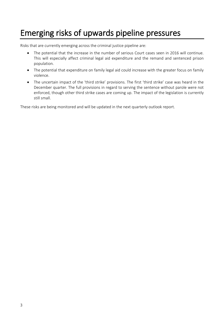### <span id="page-4-0"></span>Emerging risks of upwards pipeline pressures

Risks that are currently emerging across the criminal justice pipeline are:

- The potential that the increase in the number of serious Court cases seen in 2016 will continue. This will especially affect criminal legal aid expenditure and the remand and sentenced prison population.
- The potential that expenditure on family legal aid could increase with the greater focus on family violence.
- The uncertain impact of the 'third strike' provisions. The first 'third strike' case was heard in the December quarter. The full provisions in regard to serving the sentence without parole were not enforced, though other third strike cases are coming up. The impact of the legislation is currently still small.

These risks are being monitored and will be updated in the next quarterly outlook report.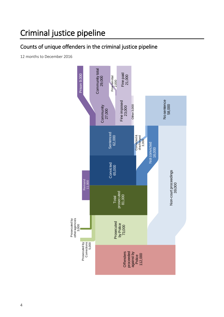### <span id="page-5-0"></span>Criminal justice pipeline

### Counts of unique offenders in the criminal justice pipeline

12 months to December 2016

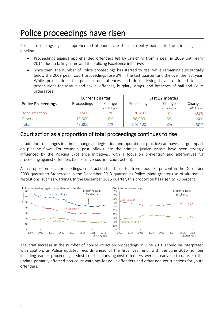### <span id="page-6-0"></span>Police proceedings have risen

Police proceedings against apprehended offenders are the main entry point into the criminal justice pipeline:

- Proceedings against apprehended offenders fell by one-third from a peak in 2009 until early 2014, due to falling crime and the Policing Excellence initiatives.
- Since then, the number of Police proceedings has started to rise, while remaining substantially below the 2009 peak. Court proceedings rose 2% in the last quarter, and 3% over the last year. While prosecutions for public order offences and drink driving have continued to fall, prosecutions for assault and sexual offences, burglary, drugs, and breaches of bail and Court orders rose.

|                           | Current quarter |                |             | Last 12 months |                |  |  |
|---------------------------|-----------------|----------------|-------------|----------------|----------------|--|--|
| <b>Police Proceedings</b> | Proceedings     | Change         | Proceedings | Change         | Change         |  |  |
|                           |                 | c.f. last year |             | c.f. last year | c.f. 2009 peak |  |  |
| By court action           | 30,500          | 2%             | 120,400     | 3%             | $-32%$         |  |  |
| Other actions             | 13,300          | 0%             | 56,000      | 3%             | $-24%$         |  |  |
| Total                     | 43,800          | 1%             | 176,400     | 3%             | $-30%$         |  |  |

#### Court action as a proportion of total proceedings continues to rise

In addition to changes in crime, changes in legislation and operational practice can have a large impact on pipeline flows. For example, past inflows into the criminal justice system have been strongly influenced by the Policing Excellence initiatives, with a focus on prevention and alternatives for proceeding against offenders (i.e. court versus non-court action).

As a proportion of all proceedings, court action had fallen fell from about 72 percent in the December 2009 quarter to 64 percent in the December 2013 quarter, as Police made greater use of alternative resolutions, such as warnings. In the December 2016 quarter, this proportion has risen to 70 percent.



The brief increase in the number of non-court action proceedings in June 2016 should be interpreted with caution, as Police updated records ahead of the fiscal year end, with the June 2016 number including earlier proceedings. Most court actions against offenders were already up-to-date, so the update primarily affected non-court warnings for adult offenders and other non-court actions for youth offenders.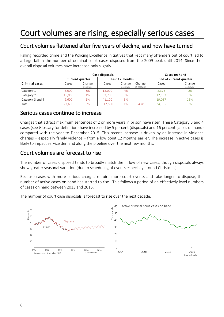### <span id="page-7-0"></span>Court volumes are rising, especially serious cases

### Court volumes flattened after five years of decline, and now have turned

Falling recorded crime and the Policing Excellence initiatives that kept many offenders out of court led to a large fall in the number of criminal court cases disposed from the 2009 peak until 2014. Since then overall disposal volumes have increased only slightly.

|                  |        | Case disposals           | Cases on hand  |                          |                          |                        |                          |
|------------------|--------|--------------------------|----------------|--------------------------|--------------------------|------------------------|--------------------------|
|                  |        | Current quarter          | Last 12 months |                          |                          | End of current quarter |                          |
| Criminal cases   | Cases  | Change<br>c.f. last year | Cases          | Change<br>c.f. last year | Change<br>c.f. 2009 peak | Cases                  | Change<br>c.f. last year |
| Category 1       | 3.000  | $-6%$                    | 13,000         | $-4%$                    |                          | 2,375                  | $-2%$                    |
| Category 2       | 15,000 | 1%                       | 63.700         | 0%                       |                          | 12,933                 | 3%                       |
| Category 3 and 4 | 9.600  | 1%                       | 41.100         | 5%                       |                          | 19.087                 | 16%                      |
| Total            | 27.600 | 0%                       | 117.800        | 1%                       | $-43%$                   | 34.395                 | 9%                       |

#### Serious cases continue to increase

Charges that attract maximum sentences of 2 or more years in prison have risen. These Category 3 and 4 cases (see Glossary for definition) have increased by 5 percent (disposals) and 16 percent (cases on hand) compared with the year to December 2015. This recent increase is driven by an increase in violence charges – especially family violence – from a low point 12 months earlier. The increase in active cases is likely to impact service demand along the pipeline over the next few months.

#### Court volumes are forecast to rise

The number of cases disposed tends to broadly match the inflow of new cases, though disposals always show greater seasonal variation (due to scheduling of events especially around Christmas).

Because cases with more serious charges require more court events and take longer to dispose, the number of active cases on hand has started to rise. This follows a period of an effectively level numbers of cases on hand between 2013 and 2015.

The number of court case disposals is forecast to rise over the next decade.

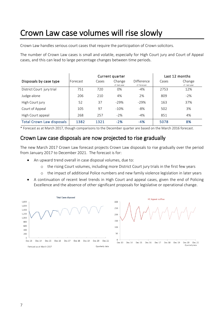### <span id="page-8-0"></span>Crown Law case volumes will rise slowly

Crown Law handles serious court cases that require the participation of Crown solicitors.

The number of Crown Law cases is small and volatile, especially for High Court jury and Court of Appeal cases, and this can lead to large percentage changes between time periods.

|                                  |          | Current quarter |                         | Last 12 months             |       |                         |
|----------------------------------|----------|-----------------|-------------------------|----------------------------|-------|-------------------------|
| Disposals by case type           | Forecast | Cases           | Change<br>cf. last year | Difference<br>cf. forecast | Cases | Change<br>cf. last year |
| District Court jury trial        | 751      | 720             | 0%                      | $-4\%$                     | 2753  | 12%                     |
| Judge-alone                      | 206      | 210             | 4%                      | 2%                         | 809   | $-2%$                   |
| High Court jury                  | 52       | 37              | $-29%$                  | $-29%$                     | 163   | 37%                     |
| Court of Appeal                  | 105      | 97              | $-10%$                  | -8%                        | 502   | 3%                      |
| High Court appeal                | 268      | 257             | $-2%$                   | $-4%$                      | 851   | 4%                      |
| <b>Total Crown Law disposals</b> | 1382     | 1321            | $-2%$                   | $-4%$                      | 5078  | 8%                      |

#### Crown Law case disposals are now projected to rise gradually

The new March 2017 Crown Law forecast projects Crown Law disposals to rise gradually over the period from January 2017 to December 2021. The forecast is for:

- An upward trend overall in case disposal volumes, due to:
	- o the rising Court volumes, including more District Court jury trials in the first few years
	- o the impact of additional Police numbers and new family violence legislation in later years
- A continuation of recent level trends in High Court and appeal cases, given the end of Policing Excellence and the absence of other significant proposals for legislative or operational change.



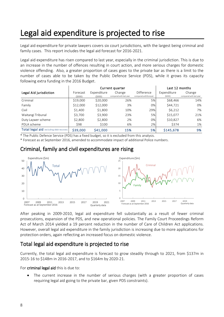### <span id="page-9-0"></span>Legal aid expenditure is projected to rise

Legal aid expenditure for private lawyers covers six court jurisdictions, with the largest being criminal and family cases. This report includes the legal aid forecast for 2016-2021.

Legal aid expenditure has risen compared to last year, especially in the criminal jurisdiction. This is due to an increase in the number of offences resulting in court action, and more serious charges for domestic violence offending. Also, a greater proportion of cases goes to the private bar as there is a limit to the number of cases able to be taken by the Public Defence Service (PDS), while it grows its capacity following extra funding in the 2016 Budget.

|                                         |                    |                       | Current quarter                   |                                     | Last 12 months        |                                   |  |
|-----------------------------------------|--------------------|-----------------------|-----------------------------------|-------------------------------------|-----------------------|-----------------------------------|--|
| Legal Aid jurisdiction                  | Forecast<br>(5000) | Expenditure<br>(5000) | Change<br>compared with last year | Difference<br>compared withforecast | Expenditure<br>(SOOO) | Change<br>compared with last year |  |
| Criminal                                | \$19,000           | \$20,000              | 26%                               | 5%                                  | \$68,466              | 14%                               |  |
| Family                                  | \$12,000           | \$12,000              | 3%                                | 0%                                  | \$44,721              | 0%                                |  |
| Civil                                   | \$1,400            | \$1,800               | 10%                               | 29%                                 | \$6,212               | 7%                                |  |
| Waitangi Tribunal                       | \$3,700            | \$3,900               | 23%                               | 5%                                  | \$15,077              | 21%                               |  |
| Duty Laywer scheme                      | \$2,800            | \$2,800               | 2%                                | 0%                                  | \$10.827              | 6%                                |  |
| PDLA scheme                             | \$98               | \$100                 | 6%                                | 2%                                  | \$374                 | 1%                                |  |
| Total legal aid excluding debt recovery | \$39,000           | \$41,000              | 15%                               | 5%                                  | \$145,678             | 9%                                |  |

\* Forecast as at September 2016, amended to accommodate impact of additional Police numbers.

#### Criminal, family and civil expenditures are rising



After peaking in 2009-2010, legal aid expenditure fell substantially as a result of fewer criminal prosecutions, expansion of the PDS, and new operational policies. The Family Court Proceedings Reform Act of March 2014 yielded a 19 percent reduction in the number of Care of Children Act applications. However, overall legal aid expenditure in the family jurisdiction is increasing due to more applications for protection orders, again reflecting an increased focus on domestic violence.

#### Total legal aid expenditure is projected to rise

Currently, the total legal aid expenditure is forecast to grow steadily through to 2021, from \$137m in 2015-16 to \$148m in 2016-2017, and to \$164m by 2020-21.

For criminal legal aid this is due to:

The current increase in the number of serious charges (with a greater proportion of cases requiring legal aid going to the private bar, given PDS constraints).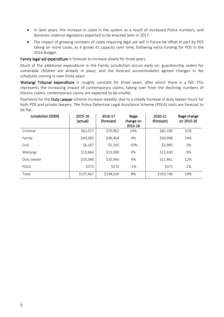- In later years, the increase in cases in the system as a result of increased Police numbers, and domestic violence legislation expected to be enacted later in 2017.
- The impact of growing numbers of cases requiring legal aid will in future be offset in part by PDS taking on more cases, as it grows its capacity over time, following extra funding for PDS in the 2016 Budget.

Family legal aid expenditure is forecast to increase slowly for three years.

Much of the additional expenditure in the Family jurisdiction occurs early on: guardianship orders for vulnerable children are already in place, and the forecast accommodates agreed changes in fee schedules coming in over three years.

Waitangi Tribunal expenditure is roughly constant for three years, after which there is a fall. This represents the increasing impact of contemporary claims, taking over from the declining numbers of historic claims; contemporary claims are expected to be smaller.

Payments for the Duty Lawyer scheme increase steadily, due to a steady increase in duty lawyer hours for both PDS and private lawyers. The Police Detention Legal Assistance Scheme (PDLA) costs are forecast to be flat.

| Jurisdiction (\$000) | 2015-16<br>(actual) | 2016-17<br>(forecast) | %age<br>change on<br>2015-16 | 2020-21<br>(forecast) | %age change<br>on 2015-16 |
|----------------------|---------------------|-----------------------|------------------------------|-----------------------|---------------------------|
| Criminal             | \$62,077            | \$70,962              | 14%                          | \$82,100              | 32%                       |
| Family               | \$44,585            | \$46,464              | 4%                           | \$50,998              | 14%                       |
| Civil                | \$6,187             | \$5,565               | $-10%$                       | \$5,985               | $-3%$                     |
| Waitangi             | \$13,664            | \$13,699              | 0%                           | \$12,430              | $-9%$                     |
| Duty lawyer          | \$10,580            | \$10,966              | 4%                           | \$11,861              | 12%                       |
| PDLA                 | \$375               | \$370                 | $-1%$                        | \$372                 | $-1\%$                    |
| Total                | \$137,467           | \$148,026             | 8%                           | \$163,746             | 19%                       |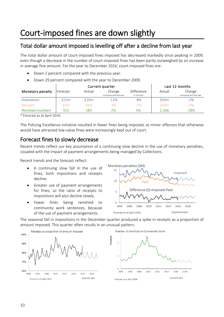# <span id="page-11-0"></span>Court-imposed fines are down slightly

### Total dollar amount imposed is levelling off after a decline from last year

The total dollar amount of court-imposed fines imposed has decreased markedly since peaking in 2009, even though a decrease in the number of court-imposed fines has been partly outweighed by an increase in average fine amount. For the year to December 2016, court-imposed fines are:

- Down 2 percent compared with the previous year.
- Down 29 percent compared with the year to December 2009.

|                    |          |        | Current quarter                   |                            |        | Last 12 months                    |
|--------------------|----------|--------|-----------------------------------|----------------------------|--------|-----------------------------------|
| Monetary penalty   | Forecast | Actual | Change<br>compared with last year | Difference<br>cf. forecast | Actual | Change<br>compared with last year |
| <b>Impositions</b> | \$11m    | \$10m  | $-11%$                            | -8%                        | \$43m  | $-2%$                             |
| Receipts           | S9m      | \$9m   | $-4%$                             | $-1\%$                     | \$34m  | $-4%$                             |
| Remittals (number) | 555      | 583    | 2%                                | 5%                         | 2.306  | $-18%$                            |

\* Forecast as at April 2016.

The Policing Excellence initiative resulted in fewer fines being imposed, as minor offences that otherwise would have attracted low-value fines were increasingly kept out of court.

#### Forecast fines to slowly decrease

Recent trends reflect our key assumption of a continuing slow decline in the use of monetary penalties, coupled with the impact of payment arrangements being managed by Collections.

Recent trends and the forecast reflect:

- A continuing slow fall in the use of fines; both impositions and receipts decline.
- Greater use of payment arrangements for fines, so the ratio of receipts to impositions will also decline slowly.
- Fewer fines being remitted to community work sentences, because of the use of payment arrangements.



The seasonal fall in impositions in the December quarter produced a spike in receipts as a proportion of amount imposed. This quarter often results in an unusual pattern.





2010

2012

2014

2016

Quarterly data

2018

2008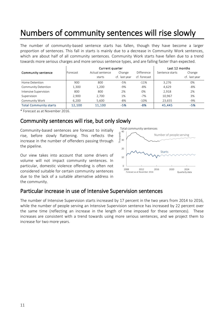# <span id="page-12-0"></span>Numbers of community sentences will rise slowly

The number of community-based sentence starts has fallen, though they have become a larger proportion of sentences. This fall in starts is mainly due to a decrease in Community Work sentences, which are about half of all community sentences. Community Work starts have fallen due to a trend towards more serious charges and more serious sentence types, and are falling faster than expected.

| WHICH ALE ADOUL HAIL OF AIL COMMUNICY SCHLENCES. COMMUNICY VVOLK SLATLS HAVE TAILEN QUE LO A LIENU<br>towards more serious charges and more serious sentence types, and are falling faster than expected. |          |                 |                |              |                 |               |
|-----------------------------------------------------------------------------------------------------------------------------------------------------------------------------------------------------------|----------|-----------------|----------------|--------------|-----------------|---------------|
|                                                                                                                                                                                                           |          | Current quarter | Last 12 months |              |                 |               |
| Community sentence                                                                                                                                                                                        | Forecast | Actual sentence | Change         | Difference   | Sentence starts | Change        |
|                                                                                                                                                                                                           |          | starts          | cf. last year  | cf. forecast |                 | cf. last year |
| Home Detention                                                                                                                                                                                            | 900      | 800             | $-5%$          | $-11%$       | 3,276           | 0%            |
| Community Detention                                                                                                                                                                                       | 1.300    | 1,200           | $-9%$          | -8%          | 4.629           | $-8%$         |
| Intensive Supervision                                                                                                                                                                                     | 800      | 800             | 2%             | 0%           | 2.918           | 2%            |
| Supervision                                                                                                                                                                                               | 2,900    | 2.700           | 1%             | $-7%$        | 10,967          | 3%            |
| Community Work                                                                                                                                                                                            | 6.200    | 5.600           | -8%            | $-10%$       | 23,655          | -9%           |
| <b>Total Community starts</b>                                                                                                                                                                             | 12,100   | 11.100          | $-5%$          | $-8%$        | 45,445          | $-5%$         |

\* Forecast as at November 2016.

### Community sentences will rise, but only slowly

Community-based sentences are forecast to initially rise, before slowly flattening. This reflects the increase in the number of offenders passing through the pipeline.

Our view takes into account that some drivers of volume will not impact community sentences. In particular, domestic violence offending is often not considered suitable for certain community sentences due to the lack of a suitable alternative address in the community.



### Particular increase in use of Intensive Supervision sentences

The number of Intensive Supervision starts increased by 17 percent in the two years from 2014 to 2016, while the number of people serving an Intensive Supervision sentence has increased by 22 percent over the same time (reflecting an increase in the length of time imposed for these sentences). These increases are consistent with a trend towards using more serious sentences, and we project them to increase for two more years.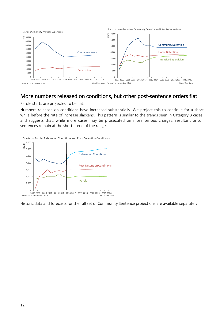

### More numbers released on conditions, but other post-sentence orders flat

Parole starts are projected to be flat.

Numbers released on conditions have increased substantially. We project this to continue for a short while before the rate of increase slackens. This pattern is similar to the trends seen in Category 3 cases, and suggests that, while more cases may be prosecuted on more serious charges, resultant prison sentences remain at the shorter end of the range.



Historic data and forecasts for the full set of Community Sentence projections are available separately.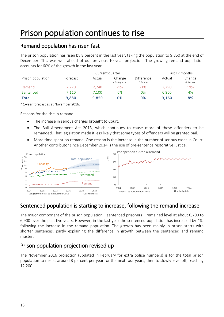### <span id="page-14-0"></span>Prison population continues to rise

### Remand population has risen fast

The prison population has risen by 8 percent in the last year, taking the population to 9,850 at the end of December. This was well ahead of our previous 10 year projection. The growing remand population accounts for 60% of the growth in the last year.

|                                        |          |        | Last 12 months             |                            |        |                         |
|----------------------------------------|----------|--------|----------------------------|----------------------------|--------|-------------------------|
| Prison population                      | Forecast | Actual | Change<br>c.f last quarter | Difference<br>cf. forecast | Actual | Change<br>cf. last year |
| Remand                                 | 2.770    | 2,740  | $-1\%$                     | $-1%$                      | 2,290  | 19%                     |
| Sentenced                              | 7,110    | 7,100  | 0%                         | 0%                         | 6,860  | 4%                      |
| <b>Total</b>                           | 9,880    | 9,850  | 0%                         | 0%                         | 9,160  | 8%                      |
| * 1-year forecast as at November 2016. |          |        |                            |                            |        |                         |

Reasons for the rise in remand:

- The increase in serious charges brought to Court.
- The Bail Amendment Act 2013, which continues to cause more of these offenders to be remanded. That legislation made it less likely that some types of offenders will be granted bail.
- More time spent on remand. One reason is the increase in the number of serious cases in Court. Another contributor since December 2014 is the use of pre-sentence restorative justice.



### Sentenced population is starting to increase, following the remand increase

The major component of the prison population – sentenced prisoners – remained level at about 6,700 to 6,900 over the past five years. However, in the last year the sentenced population has increased by 4%, following the increase in the remand population. The growth has been mainly in prison starts with shorter sentences, partly explaining the difference in growth between the sentenced and remand muster.

### Prison population projection revised up

The November 2016 projection (updated in February for extra police numbers) is for the total prison population to rise at around 3 percent per year for the next four years, then to slowly level off, reaching 12,200.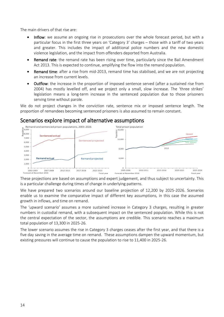The main drivers of that rise are:

- Inflow: we assume an ongoing rise in prosecutions over the whole forecast period, but with a particular focus in the first three years on 'Category 3' charges – those with a tariff of two years and greater. This includes the impact of additional police numbers and the new domestic violence legislation, and the impact from offenders deported from Australia.
- **Remand rate:** the remand rate has been rising over time, particularly since the Bail Amendment Act 2013. This is expected to continue, amplifying the flow into the remand population.
- Remand time: after a rise from mid-2013, remand time has stabilised, and we are not projecting an increase from current levels.
- Outflow: the increase in the proportion of imposed sentence served (after a sustained rise from 2004) has mostly levelled off, and we project only a small, slow increase. The 'three strikes' legislation means a long-term increase in the sentenced population due to those prisoners serving time without parole.

We do not project changes in the conviction rate, sentence mix or imposed sentence length. The proportion of remandees becoming sentenced prisoners is also assumed to remain constant.

#### Scenarios explore impact of alternative assumptions



These projections are based on assumptions and expert judgement, and thus subject to uncertainty. This is a particular challenge during times of change in underlying patterns.

We have prepared two scenarios around our baseline projection of 12,200 by 2025-2026. Scenarios enable us to examine the comparative impact of different key assumptions, in this case the assumed growth in inflows, and time on remand.

The 'upward scenario' assumes a more sustained increase in Category 3 charges, resulting in greater numbers in custodial remand, with a subsequent impact on the sentenced population. While this is not the central expectation of the sector, the assumptions are credible. This scenario reaches a maximum total population of 13,300 in 2025-26.

The lower scenario assumes the rise in Category 3 charges ceases after the first year, and that there is a five day saving in the average time on remand. These assumptions dampen the upward momentum, but existing pressures will continue to cause the population to rise to 11,400 in 2025-26.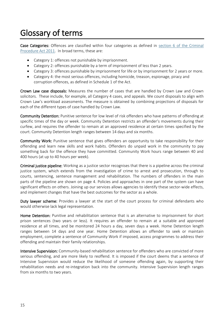### <span id="page-16-0"></span>Glossary of terms

Case Categories: Offences are classified within four categories as defined in section 6 of the Criminal [Procedure Act 2011.](http://www.legislation.govt.nz/act/public/2011/0081/latest/DLM3360039.html#DLM3360039) In broad terms, these are:

- Category 1: offences not punishable by imprisonment.
- Category 2: offences punishable by a term of imprisonment of less than 2 years.
- Category 3: offences punishable by imprisonment for life or by imprisonment for 2 years or more.
- Category 4: the most serious offences, including homicide, treason, espionage, piracy and corruption offences, as defined in Schedule 1 of the Act.

Crown Law case disposals: Measures the number of cases that are handled by Crown Law and Crown solicitors. These include, for example, all Category 4 cases, and appeals. We count disposals to align with Crown Law's workload assessments. The measure is obtained by combining projections of disposals for each of the different types of case handled by Crown Law.

Community Detention: Punitive sentence for low level of risk offenders who have patterns of offending at specific times of the day or week. Community Detention restricts an offender's movements during their curfew, and requires the offender to remain at an approved residence at certain times specified by the court. Community Detention length ranges between 14 days and six months.

Community Work: Punitive sentence that gives offenders an opportunity to take responsibility for their offending and learn new skills and work habits. Offenders do unpaid work in the community to pay something back for the offence they have committed. Community Work hours range between 40 and 400 hours (at up to 40 hours per week).

Criminal justice pipeline: Working as a justice sector recognises that there is a pipeline across the criminal justice system, which extends from the investigation of crime to arrest and prosecution, through to courts, sentencing, sentence management and rehabilitation. The numbers of offenders in the main parts of the pipeline are shown on page [4.](#page-5-0) Policies and approaches in one part of the system can have significant effects on others. Joining up our services allows agencies to identify these sector-wide effects, and implement changes that have the best outcomes for the sector as a whole.

Duty lawyer scheme: Provides a lawyer at the start of the court process for criminal defendants who would otherwise lack legal representation.

Home Detention: Punitive and rehabilitation sentence that is an alternative to imprisonment for short prison sentences (two years or less). It requires an offender to remain at a suitable and approved residence at all times, and be monitored 24 hours a day, seven days a week. Home Detention length ranges between 14 days and one year. Home Detention allows an offender to seek or maintain employment, complete a sentence of Community Work if imposed, access programmes to address their offending and maintain their family relationships.

Intensive Supervision: Community-based rehabilitation sentence for offenders who are convicted of more serious offending, and are more likely to reoffend. It is imposed if the court deems that a sentence of Intensive Supervision would reduce the likelihood of someone offending again, by supporting their rehabilitation needs and re-integration back into the community. Intensive Supervision length ranges from six months to two years.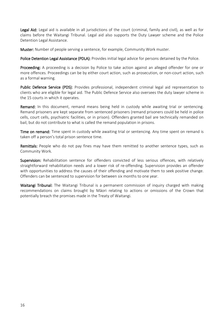Legal Aid: Legal aid is available in all jurisdictions of the court (criminal, family and civil), as well as for claims before the Waitangi Tribunal. Legal aid also supports the Duty Lawyer scheme and the Police Detention Legal Assistance.

Muster: Number of people serving a sentence, for example, Community Work muster.

Police Detention Legal Assistance (PDLA): Provides initial legal advice for persons detained by the Police.

Proceeding: A proceeding is a decision by Police to take action against an alleged offender for one or more offences. Proceedings can be by either court action, such as prosecution, or non-court action, such as a formal warning.

Public Defence Service (PDS): Provides professional, independent criminal legal aid representation to clients who are eligible for legal aid. The Public Defence Service also oversees the duty lawyer scheme in the 15 courts in which it operates.

Remand: In this document, remand means being held in custody while awaiting trial or sentencing. Remand prisoners are kept separate from sentenced prisoners (remand prisoners could be held in police cells, court cells, psychiatric facilities, or in prison). Offenders granted bail are technically remanded on bail, but do not contribute to what is called the remand population in prisons.

Time on remand: Time spent in custody while awaiting trial or sentencing. Any time spent on remand is taken off a person's total prison sentence time.

Remittals: People who do not pay fines may have them remitted to another sentence types, such as Community Work*.*

Supervision: Rehabilitation sentence for offenders convicted of less serious offences, with relatively straightforward rehabilitation needs and a lower risk of re-offending. Supervision provides an offender with opportunities to address the causes of their offending and motivate them to seek positive change. Offenders can be sentenced to supervision for between six months to one year.

Waitangi Tribunal: The Waitangi Tribunal is a permanent commission of inquiry charged with making recommendations on claims brought by Māori relating to actions or omissions of the Crown that potentially breach the promises made in the Treaty of Waitangi.